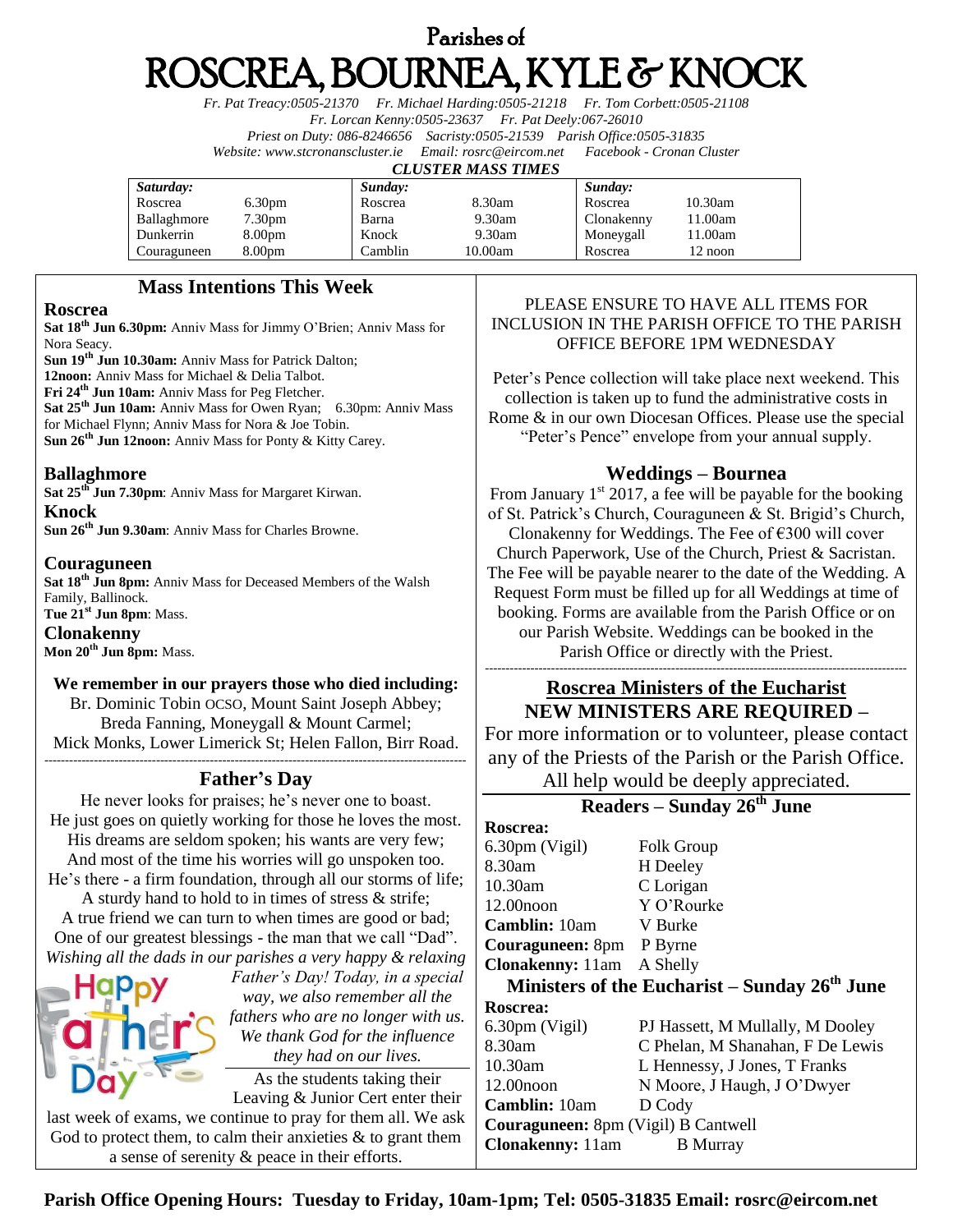# Parishes of ROSCREA, BOURNEA, KYLE & KNOCK

*Fr. Pat Treacy:0505-21370 Fr. Michael Harding:0505-21218 Fr. Tom Corbett:0505-21108 Fr. Lorcan Kenny:0505-23637 Fr. Pat Deely:067-26010 Priest on Duty: 086-8246656 Sacristy:0505-21539 Parish Office:0505-31835 Website[: www.stcronanscluster.ie](http://www.stcronanscluster.ie/) Email: [rosrc@eircom.net](mailto:rosrc@eircom.net) Facebook - Cronan Cluster* 

### *CLUSTER MASS TIMES*

| Saturday:   |                    | Sunday: |         | Sunday:    |            |
|-------------|--------------------|---------|---------|------------|------------|
| Roscrea     | 6.30 <sub>pm</sub> | Roscrea | 8.30am  | Roscrea    | $10.30$ am |
| Ballaghmore | 7.30 <sub>pm</sub> | Barna   | 9.30am  | Clonakenny | 11.00am    |
| Dunkerrin   | 8.00 <sub>pm</sub> | Knock   | 9.30am  | Moneygall  | 11.00am    |
| Couraguneen | 8.00 <sub>pm</sub> | Camblin | 10.00am | Roscrea    | 12 noon    |

# **Mass Intentions This Week**

### **Roscrea**

**Sat 18th Jun 6.30pm:** Anniv Mass for Jimmy O'Brien; Anniv Mass for Nora Seacy.

**Sun 19th Jun 10.30am:** Anniv Mass for Patrick Dalton;

**12noon:** Anniv Mass for Michael & Delia Talbot.

**Fri 24th Jun 10am:** Anniv Mass for Peg Fletcher.

**Sat 25th Jun 10am:** Anniv Mass for Owen Ryan; 6.30pm: Anniv Mass for Michael Flynn; Anniv Mass for Nora & Joe Tobin.

**Sun 26th Jun 12noon:** Anniv Mass for Ponty & Kitty Carey.

### **Ballaghmore**

**Sat 25th Jun 7.30pm**: Anniv Mass for Margaret Kirwan. **Knock**

**Sun 26th Jun 9.30am**: Anniv Mass for Charles Browne.

### **Couraguneen**

**Sat 18th Jun 8pm:** Anniv Mass for Deceased Members of the Walsh Family, Ballinock. **Tue 21st Jun 8pm**: Mass.

### **Clonakenny**

**Mon 20th Jun 8pm:** Mass.

# **We remember in our prayers those who died including:**

Br. Dominic Tobin OCSO, Mount Saint Joseph Abbey; Breda Fanning, Moneygall & Mount Carmel; Mick Monks, Lower Limerick St; Helen Fallon, Birr Road. ------------------------------------------------------------------------------------------------------

# **Father's Day**

He never looks for praises; he's never one to boast. He just goes on quietly working for those he loves the most. His dreams are seldom spoken; his wants are very few; And most of the time his worries will go unspoken too. He's there - a firm foundation, through all our storms of life;

A sturdy hand to hold to in times of stress & strife; A true friend we can turn to when times are good or bad; One of our greatest blessings - the man that we call "Dad". *Wishing all the dads in our parishes a very happy & relaxing* 

| Happy                                                           | Father's Day! Today, in a special<br>way, we also remember all the |  |  |  |
|-----------------------------------------------------------------|--------------------------------------------------------------------|--|--|--|
|                                                                 | fathers who are no longer with us.                                 |  |  |  |
|                                                                 | We thank God for the influence                                     |  |  |  |
|                                                                 | they had on our lives.                                             |  |  |  |
|                                                                 | As the students taking their                                       |  |  |  |
|                                                                 | Leaving & Junior Cert enter their                                  |  |  |  |
| last week of exams, we continue to pray for them all. We ask    |                                                                    |  |  |  |
| God to protect them, to calm their anxieties $\&$ to grant them |                                                                    |  |  |  |

a sense of serenity & peace in their efforts.

# PLEASE ENSURE TO HAVE ALL ITEMS FOR INCLUSION IN THE PARISH OFFICE TO THE PARISH OFFICE BEFORE 1PM WEDNESDAY

Peter's Pence collection will take place next weekend. This collection is taken up to fund the administrative costs in Rome & in our own Diocesan Offices. Please use the special "Peter's Pence" envelope from your annual supply.

# **Weddings – Bournea**

From January  $1<sup>st</sup> 2017$ , a fee will be payable for the booking of St. Patrick's Church, Couraguneen & St. Brigid's Church, Clonakenny for Weddings. The Fee of  $\epsilon$ 300 will cover Church Paperwork, Use of the Church, Priest & Sacristan. The Fee will be payable nearer to the date of the Wedding. A Request Form must be filled up for all Weddings at time of booking. Forms are available from the Parish Office or on our Parish Website. Weddings can be booked in the Parish Office or directly with the Priest.

### ------------------------------------------------------------------------------------------------------ **Roscrea Ministers of the Eucharist NEW MINISTERS ARE REQUIRED –**

For more information or to volunteer, please contact any of the Priests of the Parish or the Parish Office.

All help would be deeply appreciated.

# **Readers – Sunday 26th June**

**Roscrea:** 6.30pm (Vigil) Folk Group 8.30am H Deeley 10.30am C Lorigan 12.00noon Y O'Rourke **Camblin:** 10am V Burke **Couraguneen:** 8pm P Byrne **Clonakenny:** 11am A Shelly

**Ministers of the Eucharist – Sunday 26th June Roscrea:** 6.30pm (Vigil) PJ Hassett, M Mullally, M Dooley

| 8.30am                                     | C Phelan, M Shanahan, F De Lewis |  |  |  |
|--------------------------------------------|----------------------------------|--|--|--|
| 10.30am                                    | L Hennessy, J Jones, T Franks    |  |  |  |
| $12.00$ noon                               | N Moore, J Haugh, J O'Dwyer      |  |  |  |
| <b>Camblin:</b> 10am                       | D Cody                           |  |  |  |
| <b>Couraguneen:</b> 8pm (Vigil) B Cantwell |                                  |  |  |  |
| <b>Clonakenny:</b> 11am                    | <b>B</b> Murray                  |  |  |  |

**Parish Office Opening Hours: Tuesday to Friday, 10am-1pm; Tel: 0505-31835 Email: rosrc@eircom.net**